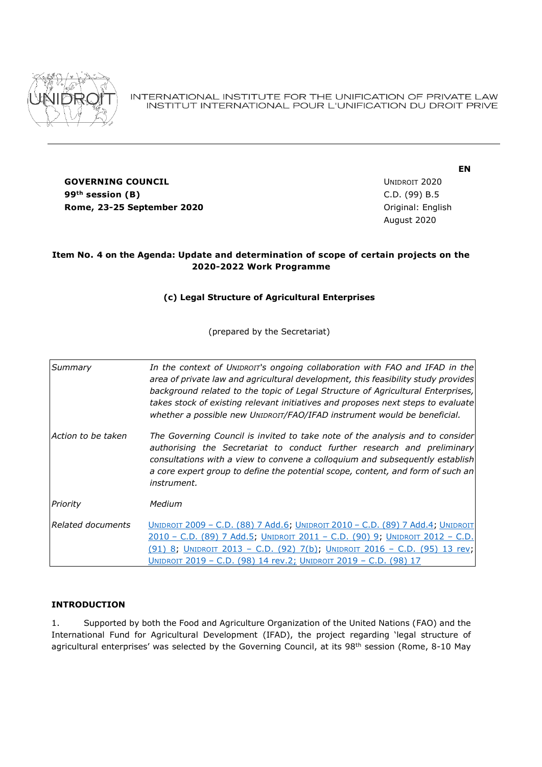

INTERNATIONAL INSTITUTE FOR THE UNIFICATION OF PRIVATE LAW INSTITUT INTERNATIONAL POUR L'UNIFICATION DU DROIT PRIVE

**GOVERNING COUNCIL COUNCIL COUNCIL COUNCIL COUNCIL COUNCIL COUNCIL COUNCIL 99th session (B)** C.D. (99) B.5 **Rome, 23-25 September 2020 Communication Communication Communication Communication Communication Communication Communication Communication Communication Communication Communication Communication Communication Communicat** 

August 2020

**EN**

## **Item No. 4 on the Agenda: Update and determination of scope of certain projects on the 2020-2022 Work Programme**

# **(c) Legal Structure of Agricultural Enterprises**

(prepared by the Secretariat)

*Summary In the context of UNIDROIT's ongoing collaboration with FAO and IFAD in the area of private law and agricultural development, this feasibility study provides background related to the topic of Legal Structure of Agricultural Enterprises, takes stock of existing relevant initiatives and proposes next steps to evaluate whether a possible new UNIDROIT/FAO/IFAD instrument would be beneficial. Action to be taken The Governing Council is invited to take note of the analysis and to consider authorising the Secretariat to conduct further research and preliminary consultations with a view to convene a colloquium and subsequently establish a core expert group to define the potential scope, content, and form of such an instrument. Priority Medium Related documents* UNIDROIT 2009 – C.D. [\(88\) 7 Add.6;](file://///Qnap1/Unidroit/Institute/CD%20-%20GOVERNING%20COUNCIL%20-%20CONSEIL%20DE%20DIRECTION/88%20-%202009/ENGLISH/CD(88)07%20Add.%206%20-%20Possible%20future%20work%20in%20the%20area%20of%20private%20law%20and%20development.doc) UNIDROIT 2010 – [C.D. \(89\) 7 Add.4;](file://///Qnap1/Unidroit/Institute/CD%20-%20GOVERNING%20COUNCIL%20-%20CONSEIL%20DE%20DIRECTION/89%20-%202010/PDF/ENGLISH/CD(89)07%20Add.%204%20-%20Agricultural%20Finance.pdf) U[NIDROIT](file://///Qnap1/Unidroit/Institute/CD%20-%20GOVERNING%20COUNCIL%20-%20CONSEIL%20DE%20DIRECTION/89%20-%202010/PDF/ENGLISH/CD(89)07%20Add.%20%205%20-%20Guidelines%20for%20a%20legal%20framework%20for%20social%20enterprises.pdf)  2010 – [C.D. \(89\) 7 Add.5;](file://///Qnap1/Unidroit/Institute/CD%20-%20GOVERNING%20COUNCIL%20-%20CONSEIL%20DE%20DIRECTION/89%20-%202010/PDF/ENGLISH/CD(89)07%20Add.%20%205%20-%20Guidelines%20for%20a%20legal%20framework%20for%20social%20enterprises.pdf) UNIDROIT 2011 – [C.D. \(90\) 9;](file://///Qnap1/Unidroit/Institute/CD%20-%20GOVERNING%20COUNCIL%20-%20CONSEIL%20DE%20DIRECTION/90%20-%202011/PDF/ENGLISH/CD(90)09%20-%20Private%20law%20and%20developpement.pdf) UNIDROIT [2012](https://www.unidroit.org/english/governments/councildocuments/2012session/cd91-08-e.pdf) – C.D. [\(91\) 8;](https://www.unidroit.org/english/governments/councildocuments/2012session/cd91-08-e.pdf) UNIDROIT 2013 – [C.D. \(92\) 7\(b\);](file://///Qnap1/Unidroit/Institute/CD%20-%20GOVERNING%20COUNCIL%20-%20CONSEIL%20DE%20DIRECTION/92%20-%202013/PDF/ENGLISH/CD(92)07(b)%20-%20Possible%20future%20work%20on%20private%20law%20aspects%20of%20agricultural%20investment.pdf) UNIDROIT 2016 – [C.D. \(95\) 13](file://///Qnap1/Unidroit/Institute/CD%20-%20GOVERNING%20COUNCIL%20-%20CONSEIL%20DE%20DIRECTION/95%20-%202016/PDF/ENGLISH/CD(95)13rev.-Work%20Programme%202017-2019.pdf) rev; UNIDROIT 2019 – [C.D. \(98\) 14 rev.2;](https://www.unidroit.org/english/governments/councildocuments/2019session/cd-98-14-rev02-e.pdf) UNIDROIT 2019 – [C.D. \(98\) 17](file://///Qnap1/Unidroit/Institute/CD%20-%20GOVERNING%20COUNCIL%20-%20CONSEIL%20DE%20DIRECTION/98%20-%202019/ENGLISH/CD(98)17-Report.docx)

### **INTRODUCTION**

1. Supported by both the Food and Agriculture Organization of the United Nations (FAO) and the International Fund for Agricultural Development (IFAD), the project regarding 'legal structure of agricultural enterprises' was selected by the Governing Council, at its 98<sup>th</sup> session (Rome, 8-10 May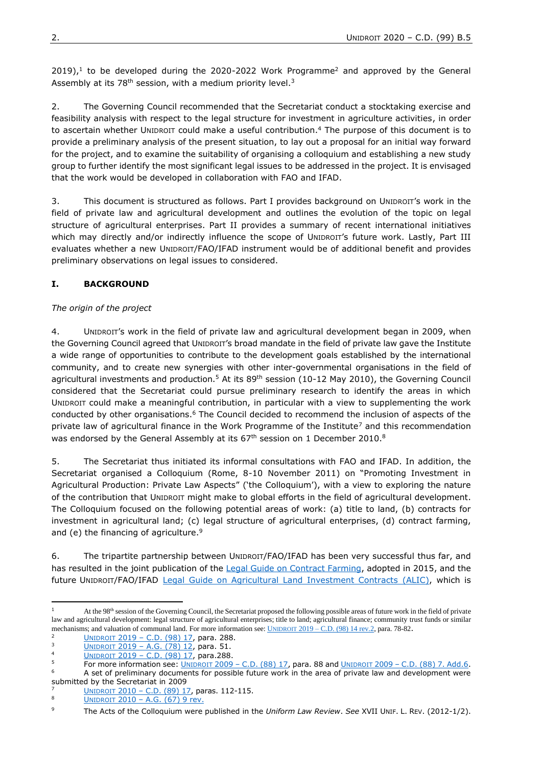$2019$ ,<sup>1</sup> to be developed during the 2020-2022 Work Programme<sup>2</sup> and approved by the General Assembly at its  $78<sup>th</sup>$  session, with a medium priority level.<sup>3</sup>

2. The Governing Council recommended that the Secretariat conduct a stocktaking exercise and feasibility analysis with respect to the legal structure for investment in agriculture activities, in order to ascertain whether UNIDROIT could make a useful contribution. <sup>4</sup> The purpose of this document is to provide a preliminary analysis of the present situation, to lay out a proposal for an initial way forward for the project, and to examine the suitability of organising a colloquium and establishing a new study group to further identify the most significant legal issues to be addressed in the project. It is envisaged that the work would be developed in collaboration with FAO and IFAD.

3. This document is structured as follows. Part I provides background on UNIDROIT's work in the field of private law and agricultural development and outlines the evolution of the topic on legal structure of agricultural enterprises. Part II provides a summary of recent international initiatives which may directly and/or indirectly influence the scope of UNIDROIT's future work. Lastly, Part III evaluates whether a new UNIDROIT/FAO/IFAD instrument would be of additional benefit and provides preliminary observations on legal issues to considered.

# **I. BACKGROUND**

# *The origin of the project*

4. UNIDROIT's work in the field of private law and agricultural development began in 2009, when the Governing Council agreed that UNIDROIT's broad mandate in the field of private law gave the Institute a wide range of opportunities to contribute to the development goals established by the international community, and to create new synergies with other inter-governmental organisations in the field of agricultural investments and production.<sup>5</sup> At its 89<sup>th</sup> session (10-12 May 2010), the Governing Council considered that the Secretariat could pursue preliminary research to identify the areas in which UNIDROIT could make a meaningful contribution, in particular with a view to supplementing the work conducted by other organisations.<sup>6</sup> The Council decided to recommend the inclusion of aspects of the private law of agricultural finance in the Work Programme of the Institute<sup>7</sup> and this recommendation was endorsed by the General Assembly at its 67<sup>th</sup> session on 1 December 2010.<sup>8</sup>

5. The Secretariat thus initiated its informal consultations with FAO and IFAD. In addition, the Secretariat organised a Colloquium (Rome, 8-10 November 2011) on "Promoting Investment in Agricultural Production: Private Law Aspects" ('the Colloquium'), with a view to exploring the nature of the contribution that UNIDROIT might make to global efforts in the field of agricultural development. The Colloquium focused on the following potential areas of work: (a) title to land, (b) contracts for investment in agricultural land; (c) legal structure of agricultural enterprises, (d) contract farming, and (e) the financing of agriculture.<sup>9</sup>

6. The tripartite partnership between UNIDROIT/FAO/IFAD has been very successful thus far, and has resulted in the joint publication of the [Legal Guide on Contract Farming,](https://www.unidroit.org/studies/contract-farming) adopted in 2015, and the future UNIDROIT/FAO/IFAD [Legal Guide on Agricultural Land Investment Contracts](https://www.unidroit.org/work-in-progress/agricultural-land-investment) (ALIC), which is

1

<sup>&</sup>lt;sup>1</sup> At the 98<sup>th</sup> session of the Governing Council, the Secretariat proposed the following possible areas of future work in the field of private law and agricultural development: legal structure of agricultural enterprises; title to land; agricultural finance; community trust funds or similar mechanisms; and valuation of communal land. For more information see: UNIDROIT 2019 – [C.D. \(98\) 14 rev.2,](https://www.unidroit.org/english/governments/councildocuments/2019session/cd-98-14-rev02-e.pdf) para. 78-82.

 $\frac{2}{3}$  UNIDROIT 2019 – [C.D. \(98\) 17,](https://www.unidroit.org/english/governments/councildocuments/2019session/cd-98-17-e.pdf) para. 288.

<sup>3</sup> UNIDROIT 2019 – [A.G. \(78\) 12,](https://www.unidroit.org/english/governments/assemblydocuments/2019-78session/ag-78-12-e.pdf) para. 51.

 $\frac{14}{5}$  UNIDROIT 2019 – [C.D. \(98\) 17,](https://www.unidroit.org/english/governments/councildocuments/2019session/cd-98-17-e.pdf) para.288.

<sup>5</sup> For more information see:  $\underline{\text{UNIDROT 2009 - C.D. (88) 17}}$  $\underline{\text{UNIDROT 2009 - C.D. (88) 17}}$  $\underline{\text{UNIDROT 2009 - C.D. (88) 17}}$ , para. 88 and  $\underline{\text{UNIDROT 2009 - C.D. (88) 7}}$ . Add.6. A set of preliminary documents for possible future work in the area of private law and development were submitted by the Secretariat in 2009

<sup>&</sup>lt;sup>7</sup> UNIDROIT 2010 – [C.D. \(89\)](https://www.unidroit.org/english/governments/councildocuments/2010session/cd89-17-e.pdf) 17, paras. 112-115.

<sup>8</sup> UNIDROIT 2010 – [A.G. \(67\) 9 rev.](https://www.unidroit.org/english/documents/2010/ag67-09rev-e.pdf)

<sup>9</sup> The Acts of the Colloquium were published in the *Uniform Law Review*. *See* XVII UNIF. L. REV. (2012-1/2).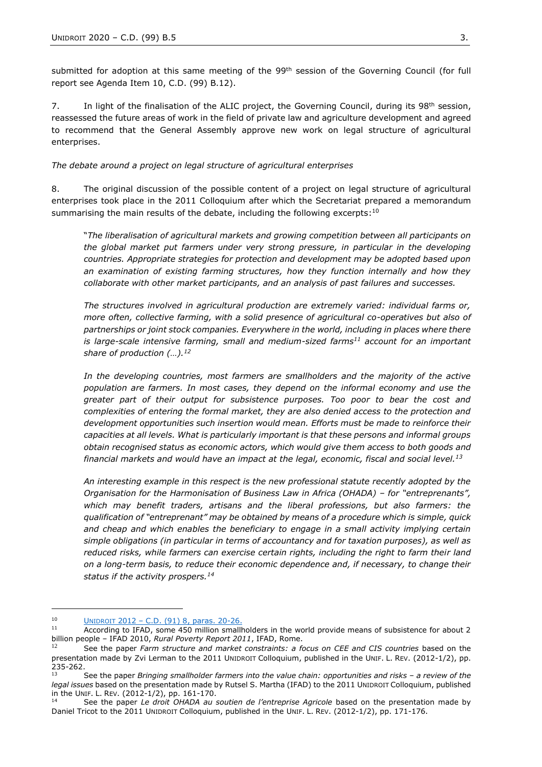submitted for adoption at this same meeting of the 99<sup>th</sup> session of the Governing Council (for full report see Agenda Item 10, C.D. (99) B.12).

7. In light of the finalisation of the ALIC project, the Governing Council, during its  $98<sup>th</sup>$  session, reassessed the future areas of work in the field of private law and agriculture development and agreed to recommend that the General Assembly approve new work on legal structure of agricultural enterprises.

#### *The debate around a project on legal structure of agricultural enterprises*

8. The original discussion of the possible content of a project on legal structure of agricultural enterprises took place in the 2011 Colloquium after which the Secretariat prepared a memorandum summarising the main results of the debate, including the following excerpts:<sup>10</sup>

"*The liberalisation of agricultural markets and growing competition between all participants on the global market put farmers under very strong pressure, in particular in the developing countries. Appropriate strategies for protection and development may be adopted based upon an examination of existing farming structures, how they function internally and how they collaborate with other market participants, and an analysis of past failures and successes.*

*The structures involved in agricultural production are extremely varied: individual farms or, more often, collective farming, with a solid presence of agricultural co-operatives but also of partnerships or joint stock companies. Everywhere in the world, including in places where there is large-scale intensive farming, small and medium-sized farms<sup>11</sup> account for an important share of production (…). 12*

In the developing countries, most farmers are smallholders and the majority of the active *population are farmers. In most cases, they depend on the informal economy and use the greater part of their output for subsistence purposes. Too poor to bear the cost and complexities of entering the formal market, they are also denied access to the protection and development opportunities such insertion would mean. Efforts must be made to reinforce their capacities at all levels. What is particularly important is that these persons and informal groups obtain recognised status as economic actors, which would give them access to both goods and financial markets and would have an impact at the legal, economic, fiscal and social level.<sup>13</sup>*

*An interesting example in this respect is the new professional statute recently adopted by the Organisation for the Harmonisation of Business Law in Africa (OHADA) – for "entreprenants", which may benefit traders, artisans and the liberal professions, but also farmers: the qualification of "entreprenant" may be obtained by means of a procedure which is simple, quick and cheap and which enables the beneficiary to engage in a small activity implying certain simple obligations (in particular in terms of accountancy and for taxation purposes), as well as reduced risks, while farmers can exercise certain rights, including the right to farm their land on a long-term basis, to reduce their economic dependence and, if necessary, to change their status if the activity prospers.<sup>14</sup>*

**.** 

<sup>&</sup>lt;sup>10</sup> UNIDROIT  $2012 - C.D. (91)$  8, paras.  $20-26$ .

According to IFAD, some 450 million smallholders in the world provide means of subsistence for about 2 billion people – IFAD 2010, *Rural Poverty Report 2011*, IFAD, Rome.

<sup>12</sup> See the paper *Farm structure and market constraints: a focus on CEE and CIS countries* based on the presentation made by Zvi Lerman to the 2011 UNIDROIT Colloquium, published in the UNIF. L. REV. (2012-1/2), pp. 235-262.

<sup>13</sup> See the paper *Bringing smallholder farmers into the value chain: opportunities and risks – a review of the legal issues* based on the presentation made by Rutsel S. Martha (IFAD) to the 2011 UNIDROIT Colloquium, published in the UNIF. L. REV. (2012-1/2), pp. 161-170.

See the paper *Le droit OHADA au soutien de l'entreprise Agricole* based on the presentation made by Daniel Tricot to the 2011 UNIDROIT Colloquium, published in the UNIF. L. REV. (2012-1/2), pp. 171-176.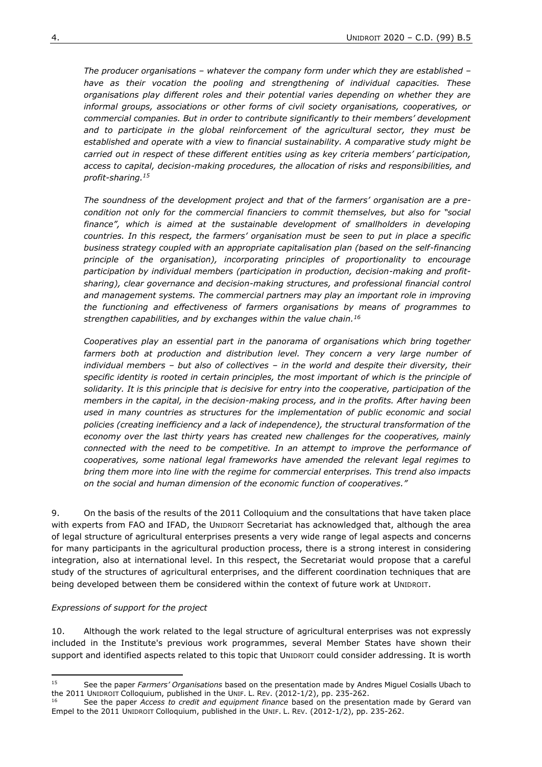*The producer organisations – whatever the company form under which they are established – have as their vocation the pooling and strengthening of individual capacities. These organisations play different roles and their potential varies depending on whether they are informal groups, associations or other forms of civil society organisations, cooperatives, or commercial companies. But in order to contribute significantly to their members' development and to participate in the global reinforcement of the agricultural sector, they must be established and operate with a view to financial sustainability. A comparative study might be carried out in respect of these different entities using as key criteria members' participation, access to capital, decision-making procedures, the allocation of risks and responsibilities, and profit-sharing. 15*

*The soundness of the development project and that of the farmers' organisation are a precondition not only for the commercial financiers to commit themselves, but also for "social finance", which is aimed at the sustainable development of smallholders in developing countries. In this respect, the farmers' organisation must be seen to put in place a specific business strategy coupled with an appropriate capitalisation plan (based on the self-financing principle of the organisation), incorporating principles of proportionality to encourage participation by individual members (participation in production, decision-making and profitsharing), clear governance and decision-making structures, and professional financial control*  and management systems. The commercial partners may play an *important role in improving the functioning and effectiveness of farmers organisations by means of programmes to strengthen capabilities, and by exchanges within the value chain. 16*

*Cooperatives play an essential part in the panorama of organisations which bring together*  farmers both at production and distribution level. They concern a very large number of *individual members – but also of collectives – in the world and despite their diversity, their specific identity is rooted in certain principles, the most important of which is the principle of solidarity. It is this principle that is decisive for entry into the cooperative, participation of the members in the capital, in the decision-making process, and in the profits. After having been used in many countries as structures for the implementation of public economic and social policies (creating inefficiency and a lack of independence), the structural transformation of the economy over the last thirty years has created new challenges for the cooperatives, mainly connected with the need to be competitive. In an attempt to improve the performance of cooperatives, some national legal frameworks have amended the relevant legal regimes to bring them more into line with the regime for commercial enterprises. This trend also impacts on the social and human dimension of the economic function of cooperatives."*

9. On the basis of the results of the 2011 Colloquium and the consultations that have taken place with experts from FAO and IFAD, the UNIDROIT Secretariat has acknowledged that, although the area of legal structure of agricultural enterprises presents a very wide range of legal aspects and concerns for many participants in the agricultural production process, there is a strong interest in considering integration, also at international level. In this respect, the Secretariat would propose that a careful study of the structures of agricultural enterprises, and the different coordination techniques that are being developed between them be considered within the context of future work at UNIDROIT.

#### *Expressions of support for the project*

10. Although the work related to the legal structure of agricultural enterprises was not expressly included in the Institute's previous work programmes, several Member States have shown their support and identified aspects related to this topic that UNIDROIT could consider addressing. It is worth

<sup>15</sup> <sup>15</sup> See the paper *Farmers' Organisations* based on the presentation made by Andres Miguel Cosialls Ubach to the 2011 UNIDROIT Colloquium, published in the UNIF. L. REV. (2012-1/2), pp. 235-262.

See the paper *Access to credit and equipment finance* based on the presentation made by Gerard van Empel to the 2011 UNIDROIT Colloquium, published in the UNIF. L. REV. (2012-1/2), pp. 235-262.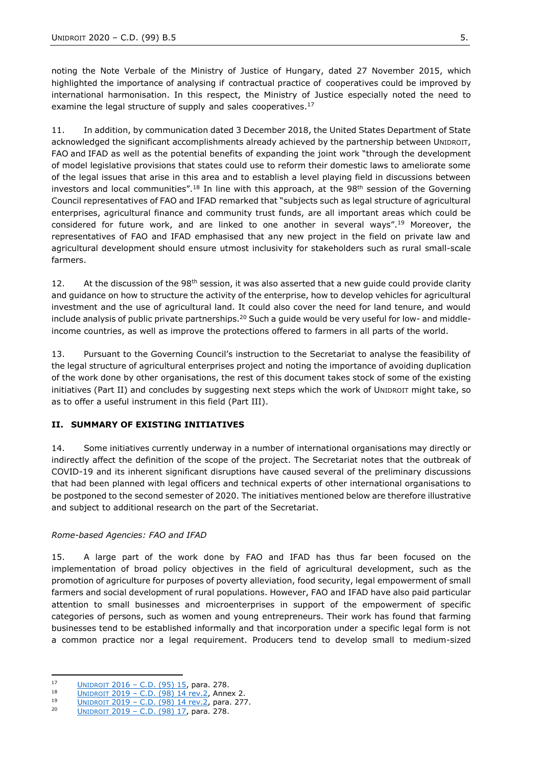noting the Note Verbale of the Ministry of Justice of Hungary, dated 27 November 2015, which highlighted the importance of analysing if contractual practice of cooperatives could be improved by international harmonisation. In this respect, the Ministry of Justice especially noted the need to examine the legal structure of supply and sales cooperatives.<sup>17</sup>

11. In addition, by communication dated 3 December 2018, the United States Department of State acknowledged the significant accomplishments already achieved by the partnership between UNIDROIT, FAO and IFAD as well as the potential benefits of expanding the joint work "through the development of model legislative provisions that states could use to reform their domestic laws to ameliorate some of the legal issues that arise in this area and to establish a level playing field in discussions between investors and local communities".<sup>18</sup> In line with this approach, at the  $98<sup>th</sup>$  session of the Governing Council representatives of FAO and IFAD remarked that "subjects such as legal structure of agricultural enterprises, agricultural finance and community trust funds, are all important areas which could be considered for future work, and are linked to one another in several ways".<sup>19</sup> Moreover, the representatives of FAO and IFAD emphasised that any new project in the field on private law and agricultural development should ensure utmost inclusivity for stakeholders such as rural small-scale farmers.

12. At the discussion of the 98<sup>th</sup> session, it was also asserted that a new quide could provide clarity and guidance on how to structure the activity of the enterprise, how to develop vehicles for agricultural investment and the use of agricultural land. It could also cover the need for land tenure, and would include analysis of public private partnerships.<sup>20</sup> Such a quide would be very useful for low- and middleincome countries, as well as improve the protections offered to farmers in all parts of the world.

13. Pursuant to the Governing Council's instruction to the Secretariat to analyse the feasibility of the legal structure of agricultural enterprises project and noting the importance of avoiding duplication of the work done by other organisations, the rest of this document takes stock of some of the existing initiatives (Part II) and concludes by suggesting next steps which the work of UNIDROIT might take, so as to offer a useful instrument in this field (Part III).

# **II. SUMMARY OF EXISTING INITIATIVES**

14. Some initiatives currently underway in a number of international organisations may directly or indirectly affect the definition of the scope of the project. The Secretariat notes that the outbreak of COVID-19 and its inherent significant disruptions have caused several of the preliminary discussions that had been planned with legal officers and technical experts of other international organisations to be postponed to the second semester of 2020. The initiatives mentioned below are therefore illustrative and subject to additional research on the part of the Secretariat.

### *Rome-based Agencies: FAO and IFAD*

15. A large part of the work done by FAO and IFAD has thus far been focused on the implementation of broad policy objectives in the field of agricultural development, such as the promotion of agriculture for purposes of poverty alleviation, food security, legal empowerment of small farmers and social development of rural populations. However, FAO and IFAD have also paid particular attention to small businesses and microenterprises in support of the empowerment of specific categories of persons, such as women and young entrepreneurs. Their work has found that farming businesses tend to be established informally and that incorporation under a specific legal form is not a common practice nor a legal requirement. Producers tend to develop small to medium-sized

 $17$  $\frac{17}{18}$  UNIDROIT 2016 – [C.D. \(95\) 15,](https://www.unidroit.org/english/governments/councildocuments/2016session/cd-95-15-e.pdf) para. 278.

<sup>18</sup> UNIDROIT 2019 – [C.D. \(98\) 14 rev.2,](https://www.unidroit.org/english/governments/councildocuments/2019session/cd-98-14-rev02-e.pdf) Annex 2.

<sup>&</sup>lt;sup>19</sup> UNIDROIT 2019 – [C.D. \(98\) 14 rev.2,](https://www.unidroit.org/english/governments/councildocuments/2019session/cd-98-14-rev02-e.pdf) para. 277.

<sup>20</sup> UNIDROIT 2019 – [C.D. \(98\) 17,](https://www.unidroit.org/english/governments/councildocuments/2019session/cd-98-17-e.pdf) para. 278.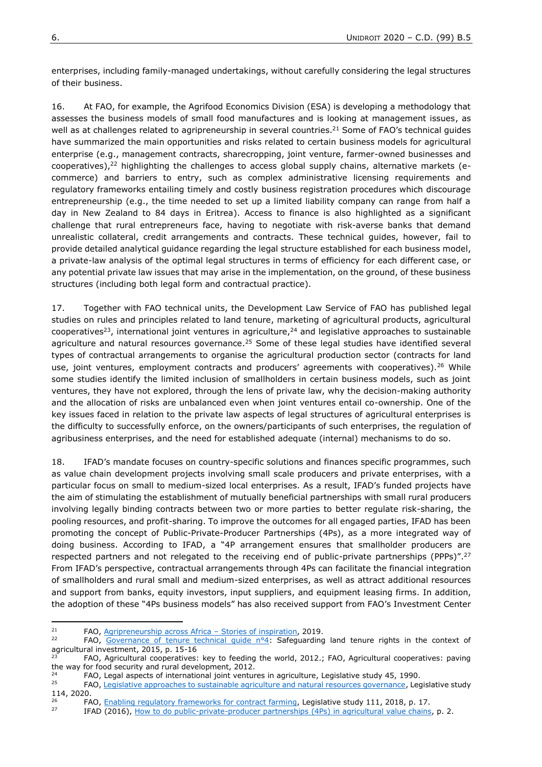enterprises, including family-managed undertakings, without carefully considering the legal structures of their business.

16. At FAO, for example, the Agrifood Economics Division (ESA) is developing a methodology that assesses the business models of small food manufactures and is looking at management issues, as well as at challenges related to agripreneurship in several countries.<sup>21</sup> Some of FAO's technical guides have summarized the main opportunities and risks related to certain business models for agricultural enterprise (e.g., management contracts, sharecropping, joint venture, farmer-owned businesses and cooperatives), $22$  highlighting the challenges to access global supply chains, alternative markets (ecommerce) and barriers to entry, such as complex administrative licensing requirements and regulatory frameworks entailing timely and costly business registration procedures which discourage entrepreneurship (e.g., the time needed to set up a limited liability company can range from half a day in New Zealand to 84 days in Eritrea). Access to finance is also highlighted as a significant challenge that rural entrepreneurs face, having to negotiate with risk-averse banks that demand unrealistic collateral, credit arrangements and contracts. These technical guides, however, fail to provide detailed analytical guidance regarding the legal structure established for each business model, a private-law analysis of the optimal legal structures in terms of efficiency for each different case, or any potential private law issues that may arise in the implementation, on the ground, of these business structures (including both legal form and contractual practice).

17. Together with FAO technical units, the Development Law Service of FAO has published legal studies on rules and principles related to land tenure, marketing of agricultural products, agricultural cooperatives<sup>23</sup>, international joint ventures in agriculture,  $24$  and legislative approaches to sustainable agriculture and natural resources governance.<sup>25</sup> Some of these legal studies have identified several types of contractual arrangements to organise the agricultural production sector (contracts for land use, joint ventures, employment contracts and producers' agreements with cooperatives).<sup>26</sup> While some studies identify the limited inclusion of smallholders in certain business models, such as joint ventures, they have not explored, through the lens of private law, why the decision-making authority and the allocation of risks are unbalanced even when joint ventures entail co-ownership. One of the key issues faced in relation to the private law aspects of legal structures of agricultural enterprises is the difficulty to successfully enforce, on the owners/participants of such enterprises, the regulation of agribusiness enterprises, and the need for established adequate (internal) mechanisms to do so.

18. IFAD's mandate focuses on country-specific solutions and finances specific programmes, such as value chain development projects involving small scale producers and private enterprises, with a particular focus on small to medium-sized local enterprises. As a result, IFAD's funded projects have the aim of stimulating the establishment of mutually beneficial partnerships with small rural producers involving legally binding contracts between two or more parties to better regulate risk-sharing, the pooling resources, and profit-sharing. To improve the outcomes for all engaged parties, IFAD has been promoting the concept of Public-Private-Producer Partnerships (4Ps), as a more integrated way of doing business. According to IFAD, a "4P arrangement ensures that smallholder producers are respected partners and not relegated to the receiving end of public-private partnerships (PPPs)".<sup>27</sup> From IFAD's perspective, contractual arrangements through 4Ps can facilitate the financial integration of smallholders and rural small and medium-sized enterprises, as well as attract additional resources and support from banks, equity investors, input suppliers, and equipment leasing firms. In addition, the adoption of these "4Ps business models" has also received support from FAO's Investment Center

**.** 

<sup>&</sup>lt;sup>21</sup> FAO, [Agripreneurship across Africa](http://www.fao.org/3/ca4671en/CA4671EN.pdf) – Stories of inspiration, 2019.

FAO, Governance of tenure technical quide n°4: Safeguarding land tenure rights in the context of agricultural investment, 2015, p. 15-16

<sup>23</sup> FAO, Agricultural cooperatives: key to feeding the world, 2012.; FAO, Agricultural cooperatives: paving the way for food security and rural development, 2012.

 $24$  FAO, Legal aspects of international joint ventures in agriculture, Legislative study 45, 1990.

FAO[, Legislative approaches to sustainable agriculture and natural resources governance,](http://www.fao.org/3/ca8728en/CA8728EN.pdf) Legislative study 114, 2020.

 $^{26}$  FAO, [Enabling regulatory frameworks for contract farming,](http://www.fao.org/3/I8595EN/i8595en.pdf) Legislative study 111, 2018, p. 17.<br> $^{27}$  FEAD (2016), How to do public private producer partnerships (4Pe) in agricultural value chains

IFAD (2016), [How to do public-private-producer partnerships \(4Ps\) in agricultural value chains,](https://www.ifad.org/documents/38714170/40314128/Public-Private-Producer+Partnerships+(4Ps)+in+Agricultural+Value+Chains/853d82f8-45c9-4493-b2da-b509112cc0b3#:~:text=IFAD%20is%20keen%20to%20promote,through%20the%20projects%20it%20supports.&text=A%204P%20arrangement%20ensures%20that,%2Dprivate%20partnerships%20(PPPs).) p. 2.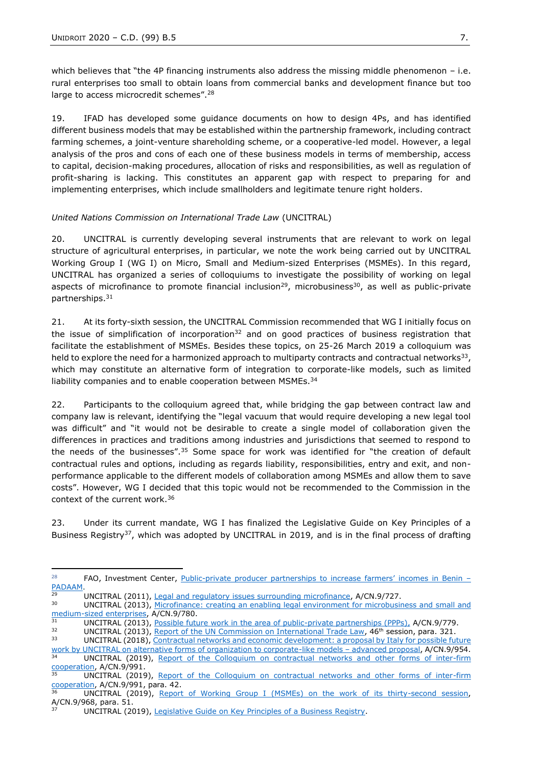**.** 

which believes that "the 4P financing instruments also address the missing middle phenomenon - i.e. rural enterprises too small to obtain loans from commercial banks and development finance but too large to access microcredit schemes".<sup>28</sup>

19. IFAD has developed some guidance documents on how to design 4Ps, and has identified different business models that may be established within the partnership framework, including contract farming schemes, a joint-venture shareholding scheme, or a cooperative-led model. However, a legal analysis of the pros and cons of each one of these business models in terms of membership, access to capital, decision-making procedures, allocation of risks and responsibilities, as well as regulation of profit-sharing is lacking. This constitutes an apparent gap with respect to preparing for and implementing enterprises, which include smallholders and legitimate tenure right holders.

#### *United Nations Commission on International Trade Law* (UNCITRAL)

20. UNCITRAL is currently developing several instruments that are relevant to work on legal structure of agricultural enterprises, in particular, we note the work being carried out by UNCITRAL Working Group I (WG I) on Micro, Small and Medium-sized Enterprises (MSMEs). In this regard, UNCITRAL has organized a series of colloquiums to investigate the possibility of working on legal aspects of microfinance to promote financial inclusion<sup>29</sup>, microbusiness<sup>30</sup>, as well as public-private partnerships.<sup>31</sup>

21. At its forty-sixth session, the UNCITRAL Commission recommended that WG I initially focus on the issue of simplification of incorporation $32$  and on good practices of business registration that facilitate the establishment of MSMEs. Besides these topics, on 25-26 March 2019 a colloquium was held to explore the need for a harmonized approach to multiparty contracts and contractual networks<sup>33</sup>, which may constitute an alternative form of integration to corporate-like models, such as limited liability companies and to enable cooperation between MSMEs.<sup>34</sup>

22. Participants to the colloquium agreed that, while bridging the gap between contract law and company law is relevant, identifying the "legal vacuum that would require developing a new legal tool was difficult" and "it would not be desirable to create a single model of collaboration given the differences in practices and traditions among industries and jurisdictions that seemed to respond to the needs of the businesses".<sup>35</sup> Some space for work was identified for "the creation of default contractual rules and options, including as regards liability, responsibilities, entry and exit, and nonperformance applicable to the different models of collaboration among MSMEs and allow them to save costs". However, WG I decided that this topic would not be recommended to the Commission in the context of the current work.<sup>36</sup>

23. Under its current mandate, WG I has finalized the Legislative Guide on Key Principles of a Business Registry<sup>37</sup>, which was adopted by UNCITRAL in 2019, and is in the final process of drafting

<sup>&</sup>lt;sup>28</sup> FAO, Investment Center, Public-[private producer partnerships to increase farmers' incomes in Benin –](http://www.fao.org/support-to-investment/our-work/success-story-detail/en/c/1204171/) [PADAAM.](http://www.fao.org/support-to-investment/our-work/success-story-detail/en/c/1204171/)

<sup>&</sup>lt;sup>29</sup> UNCITRAL (2011), <u>Legal and regulatory issues surrounding microfinance</u>, A/CN.9/727.<br><sup>30</sup> UNCITRAL (2013), Microfinance: creating an enabling logal opvironment for microbusity

UNCITRAL (2013), [Microfinance: creating an enabling legal environment for microbusiness and](https://undocs.org/en/A/CN.9/780) small and [medium-sized enterprises,](https://undocs.org/en/A/CN.9/780) A/CN.9/780.

<sup>&</sup>lt;sup>31</sup> UNCITRAL (2013), <u>Possible future work in the area of public-private partnerships (PPPs), A/CN.9/779.<br><sup>32</sup> UNCITRAL (2013), Bopert of the UN Commission on International Trade Law, 46th session, para, 221.</u>

 $32$  UNCITRAL (2013), [Report of the UN Commission on International Trade Law,](https://undocs.org/en/A/68/17)  $46$ <sup>th</sup> session, para. 321. UNCITRAL (2018), Contractual networks and economic development: a proposal by Italy for possible future

[work by UNCITRAL on alternative forms of organization to corporate-like models](https://undocs.org/A/CN.9/954) – advanced proposal, A/CN.9/954.<br>34 LINCITRAL (2010), Bonett of the Colleguium on contractual potwerks and other ferms of inter firm UNCITRAL (2019), [Report of the Colloquium on contractual networks and](https://undocs.org/en/A/CN.9/991) other forms of inter-firm

 $\frac{\text{cooperation}}{\text{35}}$ , A/CN.9/991. UNCITRAL (2019), Report of the Colloquium on contractual networks and other forms of inter-firm [cooperation,](https://undocs.org/en/A/CN.9/991) A/CN.9/991, para. 42.

UNCITRAL (2019), [Report of Working Group I \(MSMEs\) on the work of its thirty-second session,](https://undocs.org/A/CN.9/968) A/CN.9/968, para. 51.

UNCITRAL (2019), [Legislative Guide on Key Principles of a Business Registry.](https://uncitral.un.org/sites/uncitral.un.org/files/media-documents/uncitral/en/lg_business_registry-e.pdf)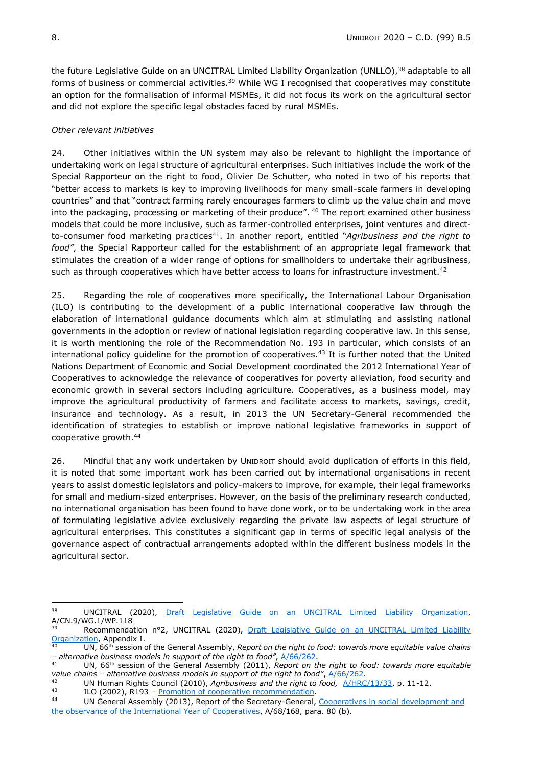the future Legislative Guide on an UNCITRAL Limited Liability Organization (UNLLO),<sup>38</sup> adaptable to all forms of business or commercial activities.<sup>39</sup> While WG I recognised that cooperatives may constitute an option for the formalisation of informal MSMEs, it did not focus its work on the agricultural sector and did not explore the specific legal obstacles faced by rural MSMEs.

# *Other relevant initiatives*

24. Other initiatives within the UN system may also be relevant to highlight the importance of undertaking work on legal structure of agricultural enterprises. Such initiatives include the work of the Special Rapporteur on the right to food, Olivier De Schutter, who noted in two of his reports that "better access to markets is key to improving livelihoods for many small-scale farmers in developing countries" and that "contract farming rarely encourages farmers to climb up the value chain and move into the packaging, processing or marketing of their produce". <sup>40</sup> The report examined other business models that could be more inclusive, such as farmer-controlled enterprises, joint ventures and directto-consumer food marketing practices<sup>41</sup>. In another report, entitled "*Agribusiness and the right to food"*, the Special Rapporteur called for the establishment of an appropriate legal framework that stimulates the creation of a wider range of options for smallholders to undertake their agribusiness, such as through cooperatives which have better access to loans for infrastructure investment.<sup>42</sup>

25. Regarding the role of cooperatives more specifically, the International Labour Organisation (ILO) is contributing to the development of a public international cooperative law through the elaboration of international guidance documents which aim at stimulating and assisting national governments in the adoption or review of national legislation regarding cooperative law. In this sense, it is worth mentioning the role of the Recommendation No. 193 in particular, which consists of an international policy quideline for the promotion of cooperatives. $43$  It is further noted that the United Nations Department of Economic and Social Development coordinated the 2012 International Year of Cooperatives to acknowledge the relevance of cooperatives for poverty alleviation, food security and economic growth in several sectors including agriculture. Cooperatives, as a business model, may improve the agricultural productivity of farmers and facilitate access to markets, savings, credit, insurance and technology. As a result, in 2013 the UN Secretary-General recommended the identification of strategies to establish or improve national legislative frameworks in support of cooperative growth.<sup>44</sup>

26. Mindful that any work undertaken by UNIDROIT should avoid duplication of efforts in this field, it is noted that some important work has been carried out by international organisations in recent years to assist domestic legislators and policy-makers to improve, for example, their legal frameworks for small and medium-sized enterprises. However, on the basis of the preliminary research conducted, no international organisation has been found to have done work, or to be undertaking work in the area of formulating legislative advice exclusively regarding the private law aspects of legal structure of agricultural enterprises. This constitutes a significant gap in terms of specific legal analysis of the governance aspect of contractual arrangements adopted within the different business models in the agricultural sector.

**.** 

<sup>38</sup> UNCITRAL (2020), [Draft Legislative Guide on an UNCITRAL Limited Liability Organization,](https://undocs.org/en/A/CN.9/WG.I/WP.118) A/CN.9/WG.1/WP.118

Recommendation n°2, UNCITRAL (2020), Draft Legislative Guide on an UNCITRAL Limited Liability [Organization,](https://undocs.org/en/A/CN.9/WG.I/WP.118) Appendix I.

UN, 66<sup>th</sup> session of the General Assembly, *Report on the right to food: towards more equitable value chains – alternative business models in support of the right to food"*, [A/66/262.](https://undocs.org/A/66/262)

UN, 66<sup>th</sup> session of the General Assembly (2011), *Report on the right to food: towards more equitable value chains – alternative business models in support of the right to food"*, [A/66/262.](https://undocs.org/A/66/262)

<sup>42</sup> UN Human Rights Council (2010), *Agribusiness and the right to food,* [A/HRC/13/33,](http://www.srfood.org/images/stories/pdf/officialreports/20100305_a-hrc-13-33_agribusiness_en.pdf) p. 11-12.

<sup>&</sup>lt;sup>43</sup> ILO (2002), R193 – <u>Promotion of cooperative recommendation</u>.<br><sup>44</sup> ILD Canaval Assembly (2013), Report of the Converge Canaval

UN General Assembly (2013), Report of the Secretary-General, Cooperatives in social development and [the observance of the International Year of Cooperatives,](https://undocs.org/A/68/168) A/68/168, para. 80 (b).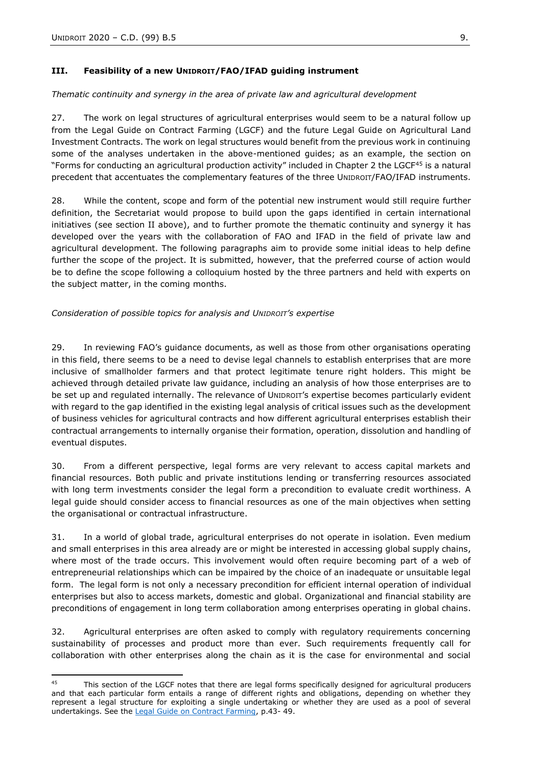### **III. Feasibility of a new UNIDROIT/FAO/IFAD guiding instrument**

#### *Thematic continuity and synergy in the area of private law and agricultural development*

27. The work on legal structures of agricultural enterprises would seem to be a natural follow up from the Legal Guide on Contract Farming (LGCF) and the future Legal Guide on Agricultural Land Investment Contracts. The work on legal structures would benefit from the previous work in continuing some of the analyses undertaken in the above-mentioned guides; as an example, the section on "Forms for conducting an agricultural production activity" included in Chapter 2 the LGCF<sup>45</sup> is a natural precedent that accentuates the complementary features of the three UNIDROIT/FAO/IFAD instruments.

28. While the content, scope and form of the potential new instrument would still require further definition, the Secretariat would propose to build upon the gaps identified in certain international initiatives (see section II above), and to further promote the thematic continuity and synergy it has developed over the years with the collaboration of FAO and IFAD in the field of private law and agricultural development. The following paragraphs aim to provide some initial ideas to help define further the scope of the project. It is submitted, however, that the preferred course of action would be to define the scope following a colloquium hosted by the three partners and held with experts on the subject matter, in the coming months.

### *Consideration of possible topics for analysis and UNIDROIT's expertise*

29. In reviewing FAO's guidance documents, as well as those from other organisations operating in this field, there seems to be a need to devise legal channels to establish enterprises that are more inclusive of smallholder farmers and that protect legitimate tenure right holders. This might be achieved through detailed private law guidance, including an analysis of how those enterprises are to be set up and regulated internally. The relevance of UNIDROIT's expertise becomes particularly evident with regard to the gap identified in the existing legal analysis of critical issues such as the development of business vehicles for agricultural contracts and how different agricultural enterprises establish their contractual arrangements to internally organise their formation, operation, dissolution and handling of eventual disputes.

30. From a different perspective, legal forms are very relevant to access capital markets and financial resources. Both public and private institutions lending or transferring resources associated with long term investments consider the legal form a precondition to evaluate credit worthiness. A legal guide should consider access to financial resources as one of the main objectives when setting the organisational or contractual infrastructure.

31. In a world of global trade, agricultural enterprises do not operate in isolation. Even medium and small enterprises in this area already are or might be interested in accessing global supply chains, where most of the trade occurs. This involvement would often require becoming part of a web of entrepreneurial relationships which can be impaired by the choice of an inadequate or unsuitable legal form. The legal form is not only a necessary precondition for efficient internal operation of individual enterprises but also to access markets, domestic and global. Organizational and financial stability are preconditions of engagement in long term collaboration among enterprises operating in global chains.

32. Agricultural enterprises are often asked to comply with regulatory requirements concerning sustainability of processes and product more than ever. Such requirements frequently call for collaboration with other enterprises along the chain as it is the case for environmental and social

 $45$ This section of the LGCF notes that there are legal forms specifically designed for agricultural producers and that each particular form entails a range of different rights and obligations, depending on whether they represent a legal structure for exploiting a single undertaking or whether they are used as a pool of several undertakings. See the [Legal Guide on Contract Farming,](https://www.unidroit.org/english/guides/2015contractfarming/cf-guide-2015-e.pdf) p.43- 49.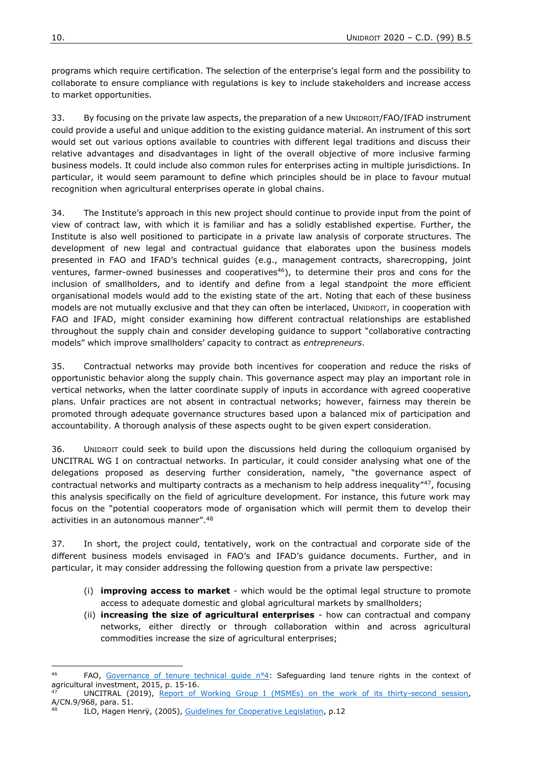programs which require certification. The selection of the enterprise's legal form and the possibility to collaborate to ensure compliance with regulations is key to include stakeholders and increase access to market opportunities.

33. By focusing on the private law aspects, the preparation of a new UNIDROIT/FAO/IFAD instrument could provide a useful and unique addition to the existing guidance material. An instrument of this sort would set out various options available to countries with different legal traditions and discuss their relative advantages and disadvantages in light of the overall objective of more inclusive farming business models. It could include also common rules for enterprises acting in multiple jurisdictions. In particular, it would seem paramount to define which principles should be in place to favour mutual recognition when agricultural enterprises operate in global chains.

34. The Institute's approach in this new project should continue to provide input from the point of view of contract law, with which it is familiar and has a solidly established expertise. Further, the Institute is also well positioned to participate in a private law analysis of corporate structures. The development of new legal and contractual guidance that elaborates upon the business models presented in FAO and IFAD's technical guides (e.g., management contracts, sharecropping, joint ventures, farmer-owned businesses and cooperatives $46$ ), to determine their pros and cons for the inclusion of smallholders, and to identify and define from a legal standpoint the more efficient organisational models would add to the existing state of the art. Noting that each of these business models are not mutually exclusive and that they can often be interlaced, UNIDROIT, in cooperation with FAO and IFAD, might consider examining how different contractual relationships are established throughout the supply chain and consider developing guidance to support "collaborative contracting models" which improve smallholders' capacity to contract as *entrepreneurs*.

35. Contractual networks may provide both incentives for cooperation and reduce the risks of opportunistic behavior along the supply chain. This governance aspect may play an important role in vertical networks, when the latter coordinate supply of inputs in accordance with agreed cooperative plans. Unfair practices are not absent in contractual networks; however, fairness may therein be promoted through adequate governance structures based upon a balanced mix of participation and accountability. A thorough analysis of these aspects ought to be given expert consideration.

36. UNIDROIT could seek to build upon the discussions held during the colloquium organised by UNCITRAL WG I on contractual networks. In particular, it could consider analysing what one of the delegations proposed as deserving further consideration, namely, "the governance aspect of contractual networks and multiparty contracts as a mechanism to help address inequality"<sup>47</sup>, focusing this analysis specifically on the field of agriculture development. For instance, this future work may focus on the "potential cooperators mode of organisation which will permit them to develop their activities in an autonomous manner".<sup>48</sup>

37. In short, the project could, tentatively, work on the contractual and corporate side of the different business models envisaged in FAO's and IFAD's guidance documents. Further, and in particular, it may consider addressing the following question from a private law perspective:

- (i) **improving access to market** which would be the optimal legal structure to promote access to adequate domestic and global agricultural markets by smallholders;
- (ii) **increasing the size of agricultural enterprises** how can contractual and company networks, either directly or through collaboration within and across agricultural commodities increase the size of agricultural enterprises;

1

<sup>46</sup> FAO, [Governance of tenure technical guide n°4:](http://www.fao.org/3/i4998e/I4998E.pdf) Safeguarding land tenure rights in the context of agricultural investment, 2015, p. 15-16.

UNCITRAL (2019), [Report of Working Group I \(MSMEs\) on the work of its thirty-second session,](https://undocs.org/A/CN.9/968) A/CN.9/968, para. 51.

ILO, Hagen Henry, (2005), [Guidelines for Cooperative Legislation,](https://www.ilo.org/wcmsp5/groups/public/---ed_emp/---emp_ent/documents/publication/wcms_094045.pdf) p.12